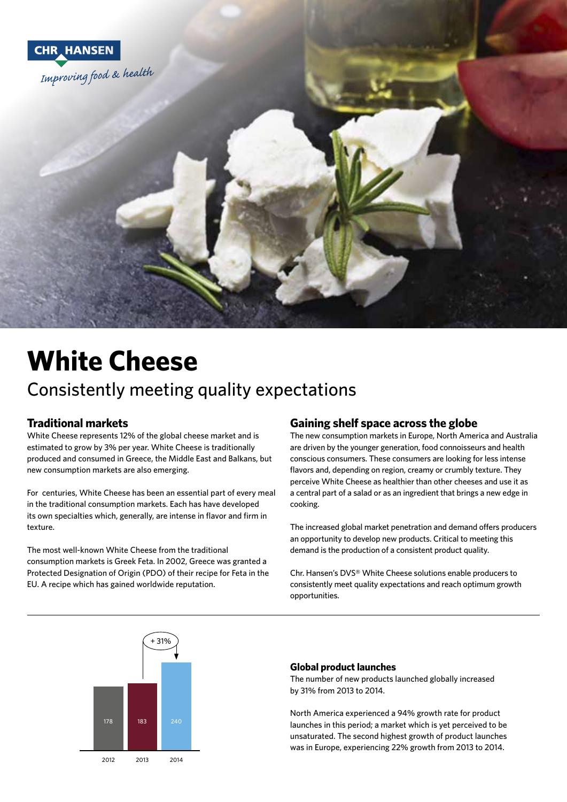

# **White Cheese**

# Consistently meeting quality expectations

#### **Traditional markets**

White Cheese represents 12% of the global cheese market and is estimated to grow by 3% per year. White Cheese is traditionally produced and consumed in Greece, the Middle East and Balkans, but new consumption markets are also emerging.

For centuries, White Cheese has been an essential part of every meal in the traditional consumption markets. Each has have developed its own specialties which, generally, are intense in flavor and firm in texture.

The most well-known White Cheese from the traditional consumption markets is Greek Feta. In 2002, Greece was granted a Protected Designation of Origin (PDO) of their recipe for Feta in the EU. A recipe which has gained worldwide reputation.

### **Gaining shelf space across the globe**

The new consumption markets in Europe, North America and Australia are driven by the younger generation, food connoisseurs and health conscious consumers. These consumers are looking for less intense flavors and, depending on region, creamy or crumbly texture. They perceive White Cheese as healthier than other cheeses and use it as a central part of a salad or as an ingredient that brings a new edge in cooking.

The increased global market penetration and demand offers producers an opportunity to develop new products. Critical to meeting this demand is the production of a consistent product quality.

Chr. Hansen's DVS® White Cheese solutions enable producers to consistently meet quality expectations and reach optimum growth opportunities.



#### **Global product launches**

The number of new products launched globally increased by 31% from 2013 to 2014.

North America experienced a 94% growth rate for product launches in this period; a market which is yet perceived to be unsaturated. The second highest growth of product launches was in Europe, experiencing 22% growth from 2013 to 2014.